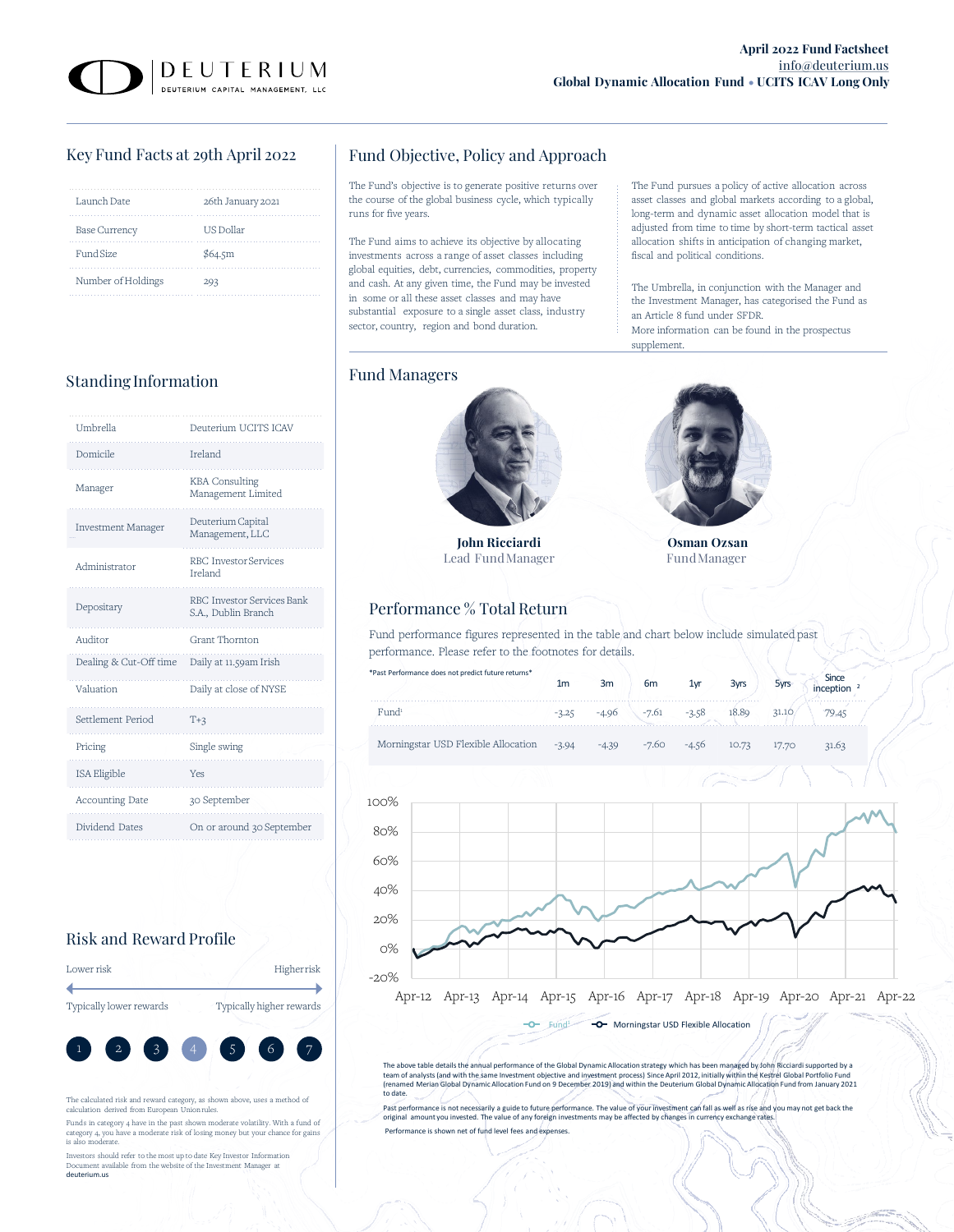The Fund pursues a policy of active allocation across asset classes and global markets according to a global, long-term and dynamic asset allocation model that is adjusted from time to time by short-term tactical asset allocation shifts in anticipation of changing market,

The Umbrella, in conjunction with the Manager and the Investment Manager, has categorised the Fund as

More information can be found in the prospectus

## Key Fund Facts at 29th April 2022

| Launch Date          | 26th January 2021 |
|----------------------|-------------------|
| <b>Base Currency</b> | US Dollar         |
| Fund Size            | \$64.5m           |
| Number of Holdings   | 293               |

# Standing Information Fund Managers

| Umbrella                  | Deuterium UCITS ICAV                              |
|---------------------------|---------------------------------------------------|
| Domicile                  | Ireland                                           |
| Manager                   | <b>KBA</b> Consulting<br>Management Limited       |
| <b>Investment Manager</b> | Deuterium Capital<br>Management, LLC              |
| Administrator             | <b>RBC</b> Investor Services<br>Ireland           |
| Depositary                | RBC Investor Services Bank<br>S.A., Dublin Branch |
| Auditor                   | Grant Thornton                                    |
| Dealing & Cut-Off time    | Daily at 11.59am Irish                            |
| Valuation                 | Daily at close of NYSE                            |
|                           |                                                   |
| Settlement Period         | $T+3$                                             |
| Pricing                   | Single swing                                      |
| ISA Eligible              | Yes                                               |
| Accounting Date           | 30 September                                      |
| Dividend Dates            | On or around 30 September                         |

## Risk and Reward Profile

| Lower risk              | Higherrisk               |
|-------------------------|--------------------------|
|                         |                          |
| Typically lower rewards | Typically higher rewards |



The calculated risk and reward category, as shown above, uses a method of calculation derived from European Union rules.

Funds in category 4 have in the past shown moderate volatility. With a fund of category 4, you have a moderate risk of losing money but your chance for gains is also moderate.

Investors should refer to the most up to date Key Investor Information Document available from the website of the Investment Manager at deuterium.us

## Fund Objective, Policy and Approach

The Fund's objective is to generate positive returns over the course of the global business cycle, which typically runs for five years.

The Fund aims to achieve its objective by allocating investments across a range of asset classes including global equities, debt, currencies, commodities, property and cash. At any given time, the Fund may be invested in some or all these asset classes and may have substantial exposure to a single asset class, industry sector, country, region and bond duration.



**John Ricciardi** Lead FundManager

## Performance % Total Return

Fund performance figures represented in the table and chart below include simulated past performance. Please refer to the footnotes for details.

| *Past Performance does not predict future returns* | 1m      | 3m      | 6 <sub>m</sub>                  | 1vr         | 3 <sub>vrs</sub> |       | Since |
|----------------------------------------------------|---------|---------|---------------------------------|-------------|------------------|-------|-------|
| Find <sup>1</sup>                                  |         |         | $-3.25$ $-4.96$ $-7.61$ $-3.58$ |             | 18.89            | 31.10 |       |
| Morningstar USD Flexible Allocation                | $-3.94$ | $-4.39$ |                                 | -7.60 -4.56 | 10.73            | 17.70 | 31.63 |



The above table details the annual performance of the Global Dynamic Allocation strategy which has been managed by John Ricciardi supported by a<br>team of analysts (and with the same Investment objective and investment proce to date.

Past performance is not necessarily a guide to future performance. The value of your investment can fall as well as rise and you may not get back the<br>original amount you invested. The value of any foreign investments may Performance is shown net of fund level fees and expenses.



fiscal and political conditions.

an Article 8 fund under SFDR.

supplement.

**Osman Ozsan** FundManager